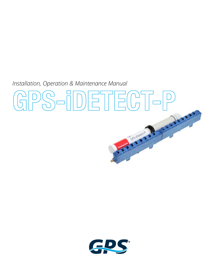*Installation, Operation & Maintenance Manual* 



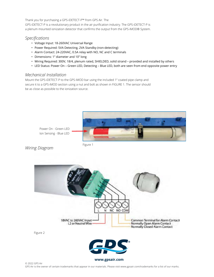Thank you for purchasing a GPS-iDETECT-P™ from GPS Air. The GPS-iDETECT-P is a revolutionary product in the air purification industry. The GPS-iDETECT-P is a plenum mounted ionization detector that confirms the output from the GPS-iMOD® System.

#### *Specifications*

- Voltage Input: 18-260VAC Universal Range
- Power Required: 5VA Detecting, 2VA Standby (non-detecting)
- Alarm Contact: 24-220VAC, 0.5A relay with NO, NC and C terminals
- Dimensions: 1" diameter and 10" long
- Wiring Required: 300V, 18/4, plenum rated, SHIELDED, solid strand provided and installed by others
- LED Status: Power On Green LED, Detecting Blue LED, both are seen from end opposite power entry

#### *Mechanical Installation*

Mount the GPS-iDETECT-P to the GPS-iMOD bar using the included 1" coated pipe clamp and secure it to a GPS-iMOD section using a nut and bolt as shown in FIGURE 1. The sensor should be as close as possible to the ionization source.



Power On - Green LED Ion Sensing - Blue LED

# *Wiring Diagram* Figure 1

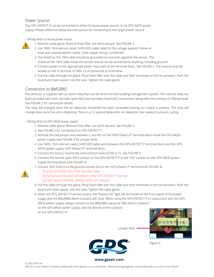#### *Power Source*

The GPS-iDETECT-P can be connected to either (I) house power source, or (II) GPS-iMOD power supply. Please reference below the instructions for connecting to the target power source.

#### *I. Wiring direct to house power source*



- 1. Remove cable gland. Remove foam filler, but don't discard. See FIGURE 2.
- 2. Use 300V 18/4 plenum-rated, SHIELDED cable rated for the voltage applied. Follow all local and national electric codes. Solid copper wiring is preferred.
- 3. The shield on the 18/4 cable should be grounded on one end, opposite the sensor. The shield on the 18/4 cable inside the sensor should not be connected to anything, including ground!
- 4. Connect power to the appropriate power input pins of the terminal block. See FIGURE 2. The neutral must be landed on the N terminal. If 240V, L2 is connected to N terminal.
- 5. Pull the cable through the gland. Place foam filler over the cable and then terminate to the circuit board. Push the board and foam spacer into the tube. Tighten the cable gland.

### *Connection to BMS/BAS*

The detector is supplied with an alarm relay that can be wired into the building management system. The internal relay has been provided with both normally open (NO) and normally closed (NC) connections along with the common (COM) terminal. See FIGURE 2 for connection details.

The relay will energize once the ion detection threshold has been exceeded proving ion output is present. The relay will change state once the unit is detecting. There is a 12 second delay after ion detection has ceased to prevent cycling.

*I. Wiring direct to GPS-iMOD power supply*

© 2022 GPS Air

**!**

- 1. Remove cable gland. Remove foam filler, but don't discard. See FIGURE 2.
- 2. See FIGURE 2 for connections to GPS-iDETECT-P.
- 3. Remove the red jumper wire between C and NO on the "GPS-iDetect-P" terminal block inside the GPS-iMOD power supply (see FIGURE 3 for jumper wire).
- 4. Use 300V, 18/4, plenum rated, SHIELDED cable wire between the GPS-iDETECT-P terminal block and the GPSiMOD power supply "GPS-iDetect-P" terminal block.
- 5. Connect the line (L), neutral (N), and common wires (COM or C). See FIGURE 4.
- 6. Connect the normal open (NO) contact on the GPS-iDETECT-P to the "ON" contact on the GPS-iMOD power supply terminal block (see FIGURE 4).
- 7. Ground 18/4 SHIELD to the ground contact (G) on the "GPS-iDetect-P" terminal (ref. FIGURE 4).
	- Only ground ONE end of the shielded cable.
	- Do not ground the end connected to the GPS-iDETECT-P sensor.
	- DO NOT RUN CONTROL WIRING WITH HV CABLES!
- 8. Pull the cable through the gland. Place foam filler over the cable and then terminate to the circuit board. Push the board and foam spacer into the tube. Tighten the cable gland.
- 9. When the GPS-iDETECT-P senses output, the "Plasma On" light will illuminate on the front panel of the power supply and the BAS/BMS Alarm Contacts will close. When using the GPS-iDETECT-P in conjunction with the GPSiMOD power supply, always connect to the BMS/BAS using the "BAS Alarm Contacts"
	- on the GPS-iMOD power supply, and not directly to the contacts on the GPS-iDETECT-P.



Figure 3



Jumper Wire

**www.globalplasmasolutions.com www.gpsair.com**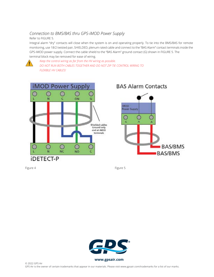## *Connection to BMS/BAS thru GPS-iMOD Power Supply*

Refer to FIGURE 5.

Integral alarm "dry" contacts will close when the system is on and operating properly. To tie into the BMS/BAS for remote monitoring, use 18/2 twisted pair, SHIELDED, plenum rated cable and connect to the "BAS Alarm" contact terminals inside the GPS-iMOD power supply. Connect the cable shield to the "BAS Alarm" ground contact (G) shown in FIGURE 5. The terminal block may be removed for ease of wiring.



*Keep the control wiring as far from the HV wiring as possible. DO NOT RUN BOTH CABLES TOGETHER AND DO NOT ZIP TIE CONTROL WIRING TO FLEXIBLE HV CABLES!*





**BAS/BMS** 

**BAS/BMS** 

Figure 4 **Figure 4** Figure 5

О G



**www.globalplasmasolutions.com www.gpsair.com**